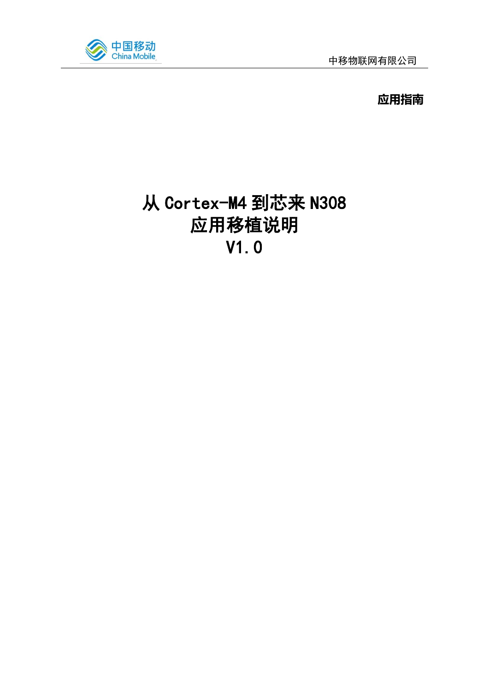

**应用指南**

# 从 Cortex-M4 到芯来 N308 应用移植说明 V1.0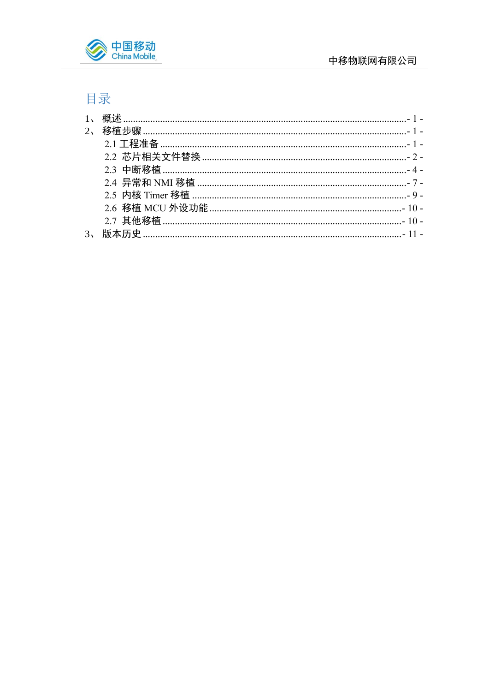

## 目录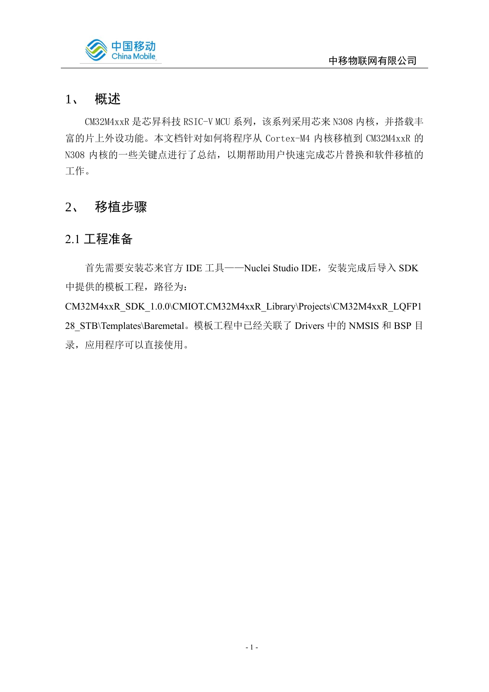

### <span id="page-2-0"></span>1、 概述

CM32M4xxR 是芯昇科技 RSIC-V MCU 系列,该系列采用芯来 N308 内核,并搭载丰 富的片上外设功能。本文档针对如何将程序从 Cortex-M4 内核移植到 CM32M4xxR 的 N308 内核的一些关键点进行了总结, 以期帮助用户快速完成芯片替换和软件移植的 工作。

## <span id="page-2-1"></span>2、 移植步骤

### <span id="page-2-2"></span>2.1 工程准备

首先需要安装芯来官方 IDE 工具——Nuclei Studio IDE,安装完成后导入 SDK 中提供的模板工程, 路径为: CM32M4xxR\_SDK\_1.0.0\CMIOT.CM32M4xxR\_Library\Projects\CM32M4xxR\_LQFP1 28\_STB\Templates\Baremetal。模板工程中已经关联了 Drivers 中的 NMSIS 和 BSP 目 录,应用程序可以直接使用。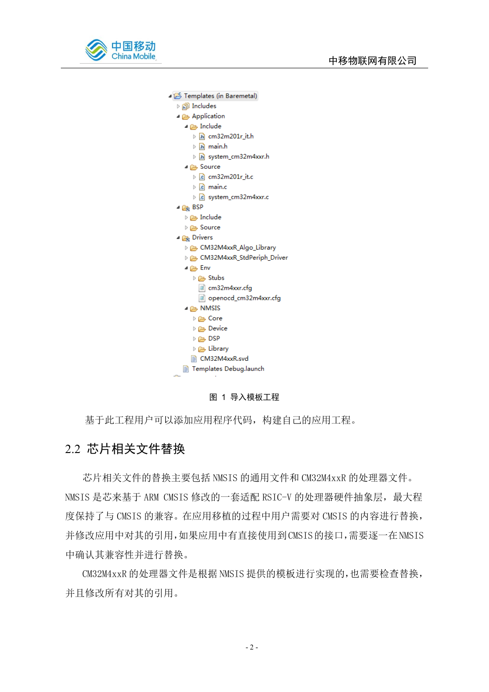

Templates (in Baremetal) ▷ p Includes ▲ Application ⊿ Enclude  $\triangleright$  [h] cm32m201r it.h  $\triangleright$   $\boxed{\mathbf{h}}$  main.h > h system\_cm32m4xxr.h ⊿ **A** Source  $\triangleright$   $\boxed{c}$  cm32m201r\_it.c  $\triangleright$   $\overline{c}$  main.c ▷ c system\_cm32m4xxr.c 4<sub>2</sub> BSP  $\triangleright \triangleright$  Include De Source ⊿ **C**<sub>rk</sub> Drivers CM32M4xxR\_Algo\_Library CM32M4xxR\_StdPeriph\_Driver  $4 \triangleright$  Env D<sub>→</sub> Stubs  $\Box$  cm32m4xxr.cfg openocd\_cm32m4xxr.cfg ⊿ NMSIS De Core Device ⇒ △  $\triangleright$   $\triangleright$  DSP  $\triangleright \triangleright$  Library ■ CM32M4xxR.svd **B** Templates Debug.launch

图 1 导入模板工程

基于此工程用户可以添加应用程序代码,构建自己的应用工程。

#### <span id="page-3-0"></span>2.2 芯片相关文件替换

芯片相关文件的替换主要包括 NMSIS 的通用文件和 CM32M4xxR 的处理器文件。 NMSIS 是芯来基于 ARM CMSIS 修改的一套适配 RSIC-V 的处理器硬件抽象层,最大程 度保持了与 CMSIS 的兼容。在应用移植的过程中用户需要对 CMSIS 的内容进行替换, 并修改应用中对其的引用,如果应用中有直接使用到CMSIS的接口,需要逐一在NMSIS 中确认其兼容性并进行替换。

CM32M4xxR 的处理器文件是根据 NMSIS 提供的模板进行实现的,也需要检查替换, 并且修改所有对其的引用。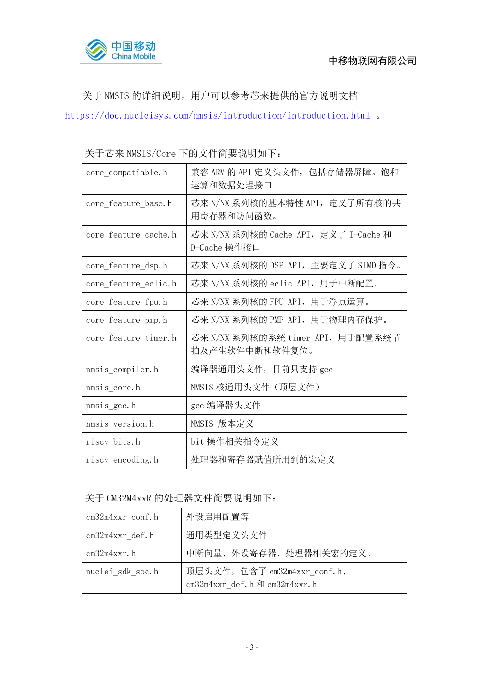

关于 NMSIS 的详细说明,用户可以参考芯来提供的官方说明文档

<https://doc.nucleisys.com/nmsis/introduction/introduction.html> 。

关于芯来 NMSIS/Core 下的文件简要说明如下:

| core compatiable.h   | 兼容 ARM 的 API 定义头文件, 包括存储器屏障。饱和<br>运算和数据处理接口          |
|----------------------|------------------------------------------------------|
| core feature base.h  | 芯来 N/NX 系列核的基本特性 API, 定义了所有核的共<br>用寄存器和访问函数。         |
| core feature cache.h | 芯来 N/NX 系列核的 Cache API,定义了 I-Cache 和<br>D-Cache 操作接口 |
| core feature dsp.h   | 芯来 N/NX 系列核的 DSP API,主要定义了 SIMD 指令。                  |
| core feature eclic.h | 芯来 N/NX 系列核的 eclic API,用于中断配置。                       |
| core feature fpu.h   | 芯来 N/NX 系列核的 FPU API, 用于浮点运算。                        |
| core feature pmp.h   | 芯来 N/NX 系列核的 PMP API, 用于物理内存保护。                      |
| core_feature_timer.h | 芯来 N/NX 系列核的系统 timer API,用于配置系统节<br>拍及产生软件中断和软件复位。   |
| nmsis_compiler.h     | 编译器通用头文件,目前只支持 gcc                                   |
| nmsis core.h         | NMSIS 核通用头文件(顶层文件)                                   |
| nmsis gcc.h          | gcc 编译器头文件                                           |
| nmsis version.h      | NMSIS 版本定义                                           |
| riscy_bits.h         | bit 操作相关指令定义                                         |
| riscy encoding. h    | 处理器和寄存器赋值所用到的宏定义                                     |

关于 CM32M4xxR 的处理器文件简要说明如下:

| $cm32m4xxr$ conf.h | 外设启用配置等                                                      |
|--------------------|--------------------------------------------------------------|
| cm32m4xxr def.h    | 通用类型定义头文件                                                    |
| $cm32m4xxr.$ h     | 中断向量、外设寄存器、处理器相关宏的定义。                                        |
| nuclei sdk soc.h   | 顶层头文件, 包含了 cm32m4xxr_conf.h、<br>cm32m4xxr_def.h和 cm32m4xxr.h |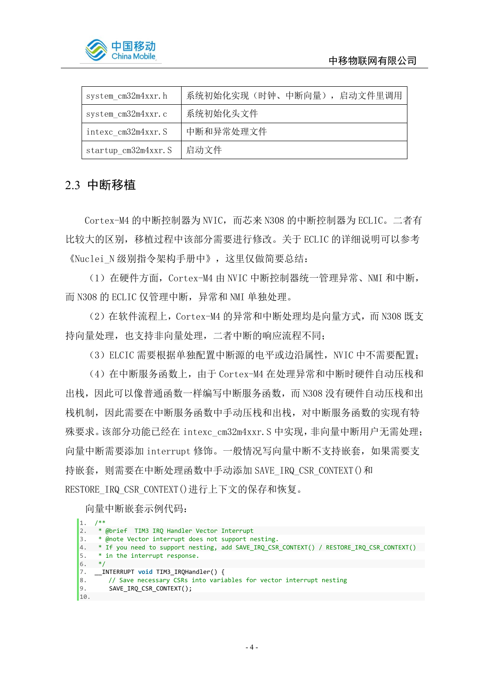

| system cm32m4xxr.h   | 系统初始化实现(时钟、中断向量), 启动文件里调用 |
|----------------------|---------------------------|
| system cm32m4xxr.c   | 系统初始化头文件                  |
| intexc cm32m4xxr. S  | 中断和异常处理文件                 |
| startup cm32m4xxr. S | 启动文件                      |

#### <span id="page-5-0"></span>2.3 中断移植

Cortex-M4 的中断控制器为 NVIC,而芯来 N308 的中断控制器为 ECLIC。二者有 比较大的区别,移植过程中该部分需要进行修改。关于 ECLIC 的详细说明可以参考 《Nuclei N 级别指令架构手册中》,这里仅做简要总结:

(1)在硬件方面,Cortex-M4 由 NVIC 中断控制器统一管理异常、NMI 和中断, 而 N308 的 ECLIC 仅管理中断, 异常和 NMI 单独处理。

(2)在软件流程上,Cortex-M4 的异常和中断处理均是向量方式,而 N308 既支 持向量处理,也支持非向量处理,二者中断的响应流程不同;

(3) ELCIC 需要根据单独配置中断源的电平或边沿属性, NVIC 中不需要配置;

(4)在中断服务函数上,由于 Cortex-M4 在处理异常和中断时硬件自动压栈和 出栈, 因此可以像普通函数一样编写中断服务函数, 而 N308 没有硬件自动压栈和出 栈机制,因此需要在中断服务函数中手动压栈和出栈,对中断服务函数的实现有特 殊要求。该部分功能已经在 intexc\_cm32m4xxr.S 中实现, 非向量中断用户无需处理; 向量中断需要添加 interrupt 修饰。一般情况写向量中断不支持嵌套,如果需要支 持嵌套,则需要在中断处理函数中手动添加 SAVE\_IRQ\_CSR\_CONTEXT()和 RESTORE\_IRQ\_CSR\_CONTEXT()进行上下文的保存和恢复。

向量中断嵌套示例代码:

 $1. / **$ 2. \* @brief TIM3 IRQ Handler Vector Interrupt 3. \* @note Vector interrupt does not support nesting. 4. \* If you need to support nesting, add SAVE\_IRQ\_CSR\_CONTEXT() / RESTORE\_IRQ\_CSR\_CONTEXT() 5. \* in the interrupt response. 6. \*/ 7. \_\_INTERRUPT **void** TIM3\_IRQHandler() { 8.  $\overline{\phantom{a}}$  // Save necessary CSRs into variables for vector interrupt nesting<br>9. SAVE IRQ CSR CONTEXT(); SAVE\_IRQ\_CSR\_CONTEXT(); 10.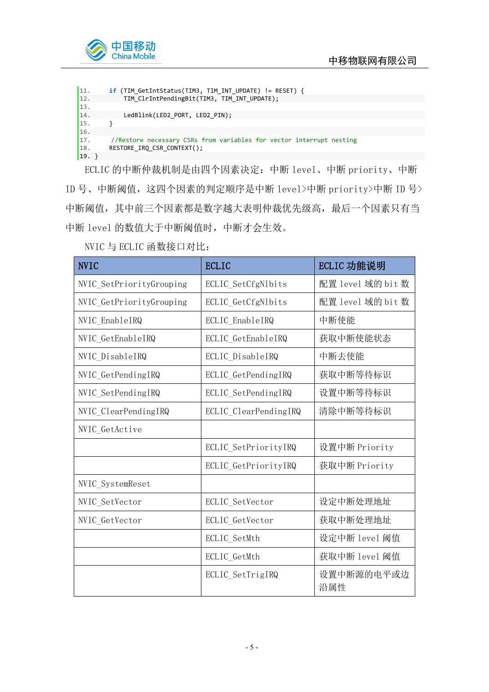



ECLIC 的中断仲裁机制是由四个因素决定:中断 level、中断 priority、中断 ID 号、中断阈值,这四个因素的判定顺序是中断 level>中断 priority>中断 ID 号> 中断阈值,其中前三个因素都是数字越大表明仲裁优先级高,最后一个因素只有当 中断 level 的数值大于中断阈值时,中断才会生效。

| <b>NVIC</b>              | <b>ECLIC</b>          | ECLIC 功能说明        |
|--------------------------|-----------------------|-------------------|
| NVIC_SetPriorityGrouping | ECLIC SetCfgNlbits    | 配置 level 域的 bit 数 |
| NVIC GetPriorityGrouping | ECLIC GetCfgNlbits    | 配置 level 域的 bit 数 |
| NVIC EnableIRQ           | ECLIC EnableIRQ       | 中断使能              |
| NVIC GetEnableIRQ        | ECLIC GetEnableIRQ    | 获取中断使能状态          |
| NVIC DisableIRQ          | ECLIC DisableIRQ      | 中断去使能             |
| NVIC GetPendingIRQ       | ECLIC GetPendingIRQ   | 获取中断等待标识          |
| NVIC SetPendingIRQ       | ECLIC SetPendingIRQ   | 设置中断等待标识          |
| NVIC ClearPendingIRQ     | ECLIC ClearPendingIRQ | 清除中断等待标识          |
| NVIC_GetActive           |                       |                   |
|                          | ECLIC SetPriorityIRQ  | 设置中断 Priority     |
|                          | ECLIC GetPriorityIRQ  | 获取中断 Priority     |
| NVIC_SystemReset         |                       |                   |
| NVIC_SetVector           | ECLIC_SetVector       | 设定中断处理地址          |
| NVIC_GetVector           | ECLIC_GetVector       | 获取中断处理地址          |
|                          | ECLIC_SetMth          | 设定中断 level 阈值     |
|                          | ECLIC GetMth          | 获取中断 level 阈值     |
|                          | ECLIC_SetTrigIRQ      | 设置中断源的电平或边<br>沿属性 |

NVIC 与 ECLIC 函数接口对比: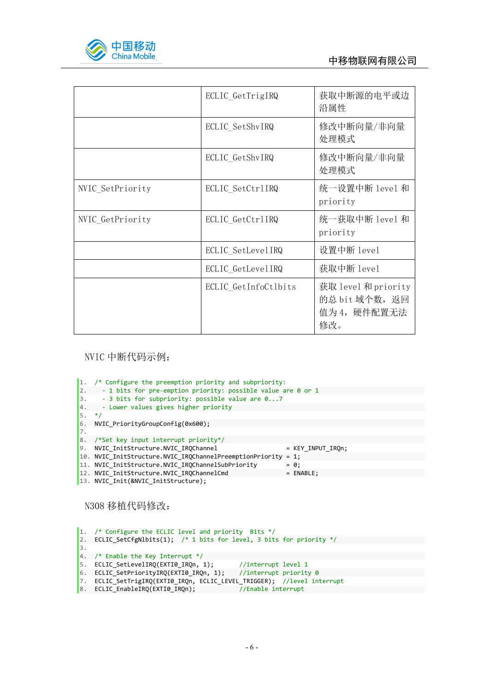

|                  | ECLIC GetTrigIRQ     | 获取中断源的电平或边<br>沿属性                                           |
|------------------|----------------------|-------------------------------------------------------------|
|                  | ECLIC SetShvIRQ      | 修改中断向量/非向量<br>处理模式                                          |
|                  | ECLIC GetShvIRQ      | 修改中断向量/非向量<br>处理模式                                          |
| NVIC SetPriority | ECLIC SetCtrlIRQ     | 统一设置中断 level 和<br>priority                                  |
| NVIC GetPriority | ECLIC GetCtrlIRQ     | 统一获取中断 level 和<br>priority                                  |
|                  | ECLIC SetLevelIRQ    | 设置中断 level                                                  |
|                  | ECLIC GetLevelIRQ    | 获取中断 level                                                  |
|                  | ECLIC_GetInfoCtlbits | 获取 level 和 priority<br>的总 bit 域个数, 返回<br>值为4, 硬件配置无法<br>修改。 |

#### NVIC 中断代码示例:

1. /\* Configure the preemption priority and subpriority: 2. - 1 bits for pre-emption priority: possible value are 0 or 1<br>3. - 3 bits for subpriority: possible value are 0...7 3. - 3 bits for subpriority: possible value are 0...7 4. - Lower values gives higher priority 5. \*/ 6. NVIC\_PriorityGroupConfig(0x600); 7. 8. /\*Set key input interrupt priority\*/ 9. NVIC\_InitStructure.NVIC\_IRQChannel = KEY\_INPUT\_IRQn; 10. NVIC\_InitStructure.NVIC\_IRQChannelPreemptionPriority = 1; 11. NVIC\_InitStructure.NVIC\_IRQChannelSubPriority =  $\theta$ ;<br>12. NVIC InitStructure.NVIC IRQChannelCmd = ENABLE; 12. NVIC\_InitStructure.NVIC\_IRQChannelCmd 13. NVIC\_Init(&NVIC\_InitStructure);

N308 移植代码修改:

1. /\* Configure the ECLIC level and priority Bits \*/ 2. ECLIC\_SetCfgNlbits(1); /\* 1 bits for level, 3 bits for priority \*/  $\overline{3}$ 4. /\* Enable the Key Interrupt \*/ 5. ECLIC\_SetLevelIRQ(EXTI0\_IRQn, 1); //interrupt level 1 6. ECLIC\_SetPriorityIRQ(EXTI0\_IRQn, 1); //interrupt priority 0 7. ECLIC\_SetTrigIRQ(EXTI0\_IRQn, ECLIC\_LEVEL\_TRIGGER); //level interrupt 8. ECLIC\_EnableIRQ(EXTI0\_IRQn); 7/Enable interrupt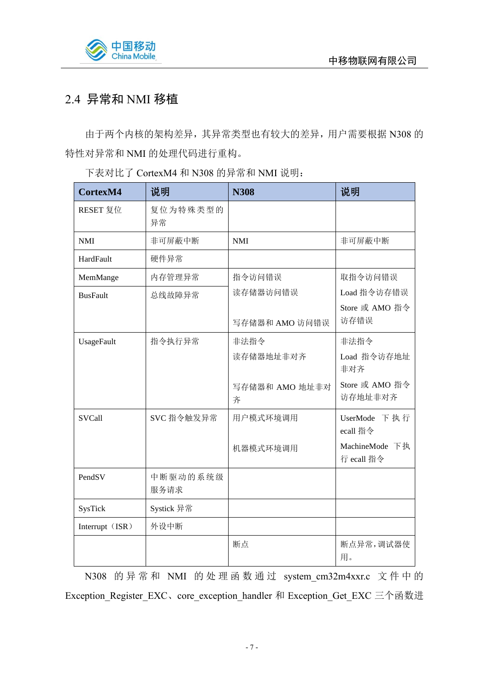

## <span id="page-8-0"></span>2.4 异常和 NMI 移植

由于两个内核的架构差异,其异常类型也有较大的差异,用户需要根据 N308 的 特性对异常和 NMI 的处理代码进行重构。

下表对比了 CortexM4 和 N308 的异常和 NMI 说明:

| CortexM4        | 说明               | <b>N308</b>         | 说明                           |
|-----------------|------------------|---------------------|------------------------------|
| RESET 复位        | 复位为特殊类型的<br>异常   |                     |                              |
| <b>NMI</b>      | 非可屏蔽中断           | <b>NMI</b>          | 非可屏蔽中断                       |
| HardFault       | 硬件异常             |                     |                              |
| MemMange        | 内存管理异常           | 指令访问错误              | 取指令访问错误                      |
| <b>BusFault</b> | 总线故障异常           | 读存储器访问错误            | Load 指令访存错误                  |
|                 |                  | 写存储器和 AMO 访问错误      | Store 或 AMO 指令<br>访存错误       |
| UsageFault      | 指令执行异常           | 非法指令                | 非法指令                         |
|                 |                  | 读存储器地址非对齐           | Load 指令访存地址<br>非对齐           |
|                 |                  | 写存储器和 AMO 地址非对<br>齐 | Store 或 AMO 指令<br>访存地址非对齐    |
| <b>SVCall</b>   | SVC 指令触发异常       | 用户模式环境调用            | UserMode 下执行<br>ecall 指令     |
|                 |                  | 机器模式环境调用            | MachineMode 下执<br>行 ecall 指令 |
| PendSV          | 中断驱动的系统级<br>服务请求 |                     |                              |
| SysTick         | Systick 异常       |                     |                              |
| Interrupt (ISR) | 外设中断             |                     |                              |
|                 |                  | 断点                  | 断点异常,调试器使<br>用。              |

N308 的异常和 NMI 的处理函数通过 system cm32m4xxr.c 文件中的 Exception Register EXC、core exception handler 和 Exception Get EXC 三个函数进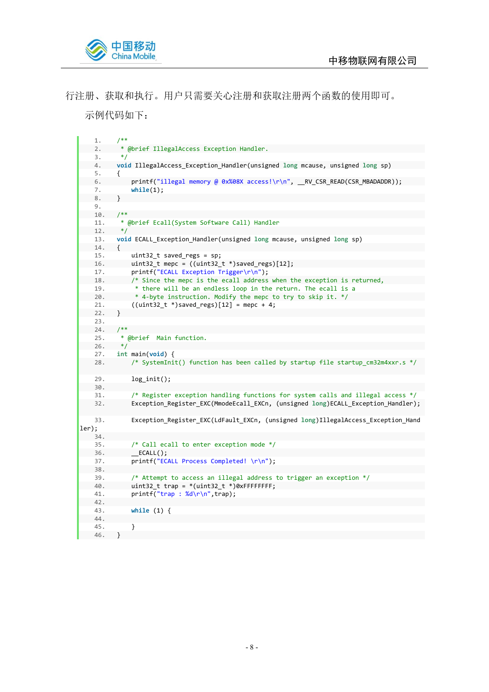

行注册、获取和执行。用户只需要关心注册和获取注册两个函数的使用即可。

示例代码如下:

```
1. /**2. * @brief IllegalAccess Exception Handler.
   3. *14. void IllegalAccess_Exception_Handler(unsigned long mcause, unsigned long sp)
5. {<br>6.
             printf("illegal memory @ 0x%08X access!\r\n", __RV_CSR_READ(CSR_MBADADDR));
   7. while(1);
   8. }
   9.
 10. /**
   11. * @brief Ecall(System Software Call) Handler
   12. */
   13. void ECALL_Exception_Handler(unsigned long mcause, unsigned long sp)
  14. {<br>15.
  15. uint32_t saved_regs = sp;
          uint32_t mepc = ((uint32_t * )saved_reg)[12];17. printf("ECALL Exception Trigger\r\n");<br>18. /* Since the mepc is the ecall address
             1<sup>*</sup> Since the mepc is the ecall address when the exception is returned,
   19. * there will be an endless loop in the return. The ecall is a
   20. * 4-byte instruction. Modify the mepc to try to skip it. */<br>21. ((uint32 t * )saved regs)[12] = mepc + 4;((uint32_t * )saved_reg)[12] = mepc + 4;22. }
   23.
   24. /**<br>25. * (
          * @brief Main function.
   26. */
   27. int main(void) {
   28. /* SystemInit() function has been called by startup file startup_cm32m4xxr.s */
   29. log_init();
   30.
   31. /* Register exception handling functions for system calls and illegal access */
   32. Exception_Register_EXC(MmodeEcall_EXCn, (unsigned long)ECALL_Exception_Handler);
   33. Exception_Register_EXC(LdFault_EXCn, (unsigned long)IllegalAccess_Exception_Hand
ler);
  34.
   35. \frac{1}{26} /* Call ecall to enter exception mode */<br>36. ECALL():
             \_ ECALL();
   37. printf("ECALL Process Completed! \r\n");
   38.
   39. /* Attempt to access an illegal address to trigger an exception */
   40. uint32_t trap = *(uint32_t *)0xFFFFFFFF;
   41. printf("trap : %d\r\n",trap);
  42.
   43. while (1) {
   44.
   45. }
   46. }
```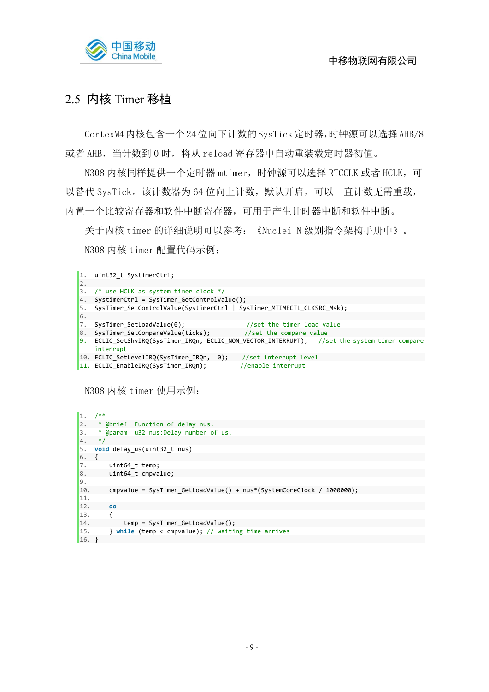

## <span id="page-10-0"></span>2.5 内核 Timer 移植

CortexM4内核包含一个24位向下计数的SysTick定时器,时钟源可以选择AHB/8 或者 AHB, 当计数到 0 时, 将从 reload 寄存器中自动重装载定时器初值。

N308 内核同样提供一个定时器 mtimer, 时钟源可以选择 RTCCLK 或者 HCLK, 可 以替代 SysTick。该计数器为 64 位向上计数, 默认开启, 可以一直计数无需重载, 内置一个比较寄存器和软件中断寄存器,可用于产生计时器中断和软件中断。

关于内核 timer 的详细说明可以参考: 《Nuclei N 级别指令架构手册中》。 N308 内核 timer 配置代码示例:

| 1.               | uint32 t SystimerCtrl;                                                                                     |
|------------------|------------------------------------------------------------------------------------------------------------|
| 2.               |                                                                                                            |
| 3.               | /* use HCLK as system timer clock $*/$                                                                     |
| 4.               | SystimerCtrl = SysTimer GetControlValue();                                                                 |
| 5.               | SysTimer SetControlValue(SystimerCtrl   SysTimer MTIMECTL CLKSRC Msk);                                     |
| 6.               |                                                                                                            |
| $\overline{7}$ . | SysTimer SetLoadValue(0);<br>//set the timer load value                                                    |
| 8.               | SysTimer SetCompareValue(ticks);<br>//set the compare value                                                |
|                  | 9. ECLIC SetShvIRQ(SysTimer IRQn, ECLIC NON VECTOR INTERRUPT); //set the system timer compare<br>interrupt |
|                  | 10. ECLIC_SetLevelIRQ(SysTimer_IRQn, 0); //set interrupt level                                             |
|                  | $11.$ ECLIC_EnableIRQ(SysTimer_IRQn);<br>//enable interrupt                                                |

N308 内核 timer 使用示例:

```
1. / **2. * @brief Function of delay nus.
3. * @param u32 nus:Delay number of us.
4. *15. void delay_us(uint32_t nus)
6. {
7. uint64_t temp;<br>8. uint64 t cmpva
        uint64t cmpvalue;
\frac{9}{10}.
        10. cmpvalue = SysTimer_GetLoadValue() + nus*(SystemCoreClock / 1000000);
11.
12. do
13. {
14. temp = SysTimer_GetLoadValue();
        15. } while (temp < cmpvalue); // waiting time arrives
16. \}
```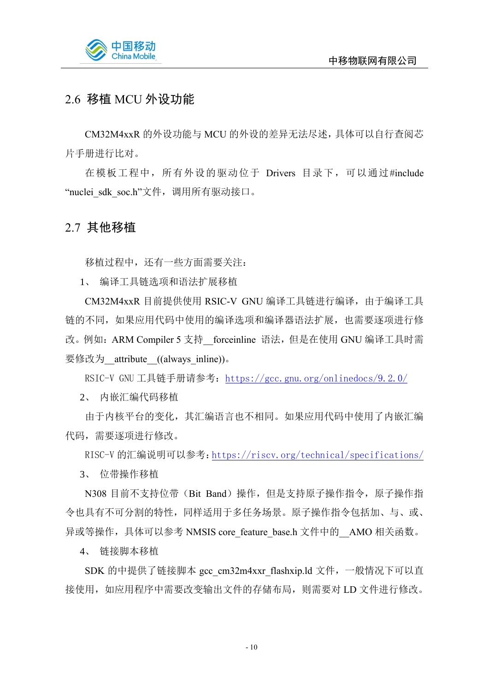

## <span id="page-11-0"></span>2.6 移植 MCU 外设功能

CM32M4xxR 的外设功能与 MCU 的外设的差异无法尽述,具体可以自行查阅芯 片手册进行比对。

在模板工程中,所有外设的驱动位于 Drivers 目录下,可以通过#include "nuclei sdk soc.h"文件, 调用所有驱动接口。

#### <span id="page-11-1"></span>2.7 其他移植

移植过程中,还有一些方面需要关注:

1、 编译工具链选项和语法扩展移植

CM32M4xxR 目前提供使用 RSIC-V GNU 编译工具链进行编译,由于编译工具 链的不同,如果应用代码中使用的编译选项和编译器语法扩展,也需要逐项进行修 改。例如: ARM Compiler 5 支持 forceinline 语法, 但是在使用 GNU 编译工具时需 要修改为 attribute ((always\_inline))。

RSIC-V GNU工具链手册请参考: <https://gcc.gnu.org/onlinedocs/9.2.0/>

2、 内嵌汇编代码移植

由于内核平台的变化,其汇编语言也不相同。如果应用代码中使用了内嵌汇编 代码,需要逐项进行修改。

RISC-V 的汇编说明可以参考:<https://riscv.org/technical/specifications/>

3、 位带操作移植

N308 目前不支持位带(Bit Band)操作, 但是支持原子操作指令, 原子操作指 令也具有不可分割的特性,同样适用于多任务场景。原子操作指令包括加、与、或、 异或等操作, 具体可以参考 NMSIS core feature base.h 文件中的 AMO 相关函数。

4、 链接脚本移植

SDK 的中提供了链接脚本 gcc\_cm32m4xxr\_flashxip.ld 文件, 一般情况下可以直 接使用,如应用程序中需要改变输出文件的存储布局,则需要对 LD 文件进行修改。